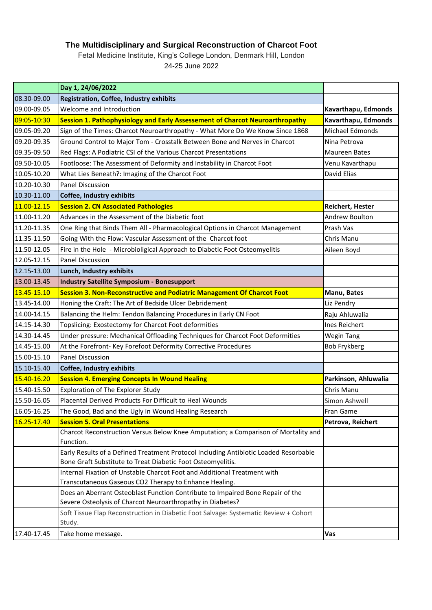## **The Multidisciplinary and Surgical Reconstruction of Charcot Foot**

Fetal Medicine Institute, King's College London, Denmark Hill, London 24-25 June 2022

|             | Day 1, 24/06/2022                                                                              |                         |
|-------------|------------------------------------------------------------------------------------------------|-------------------------|
| 08.30-09.00 | <b>Registration, Coffee, Industry exhibits</b>                                                 |                         |
| 09.00-09.05 | Welcome and Introduction                                                                       | Kavarthapu, Edmonds     |
| 09:05-10:30 | Session 1. Pathophysiology and Early Assessement of Charcot Neuroarthropathy                   | Kavarthapu, Edmonds     |
| 09.05-09.20 | Sign of the Times: Charcot Neuroarthropathy - What More Do We Know Since 1868                  | Michael Edmonds         |
| 09.20-09.35 | Ground Control to Major Tom - Crosstalk Between Bone and Nerves in Charcot                     | Nina Petrova            |
| 09.35-09.50 | Red Flags: A Podiatric CSI of the Various Charcot Presentations                                | <b>Maureen Bates</b>    |
| 09.50-10.05 | Footloose: The Assessment of Deformity and Instability in Charcot Foot                         | Venu Kavarthapu         |
| 10.05-10.20 | What Lies Beneath?: Imaging of the Charcot Foot                                                | David Elias             |
| 10.20-10.30 | <b>Panel Discussion</b>                                                                        |                         |
| 10.30-11.00 | <b>Coffee, Industry exhibits</b>                                                               |                         |
| 11.00-12.15 | <b>Session 2. CN Associated Pathologies</b>                                                    | <b>Reichert, Hester</b> |
| 11.00-11.20 | Advances in the Assessment of the Diabetic foot                                                | Andrew Boulton          |
| 11.20-11.35 | One Ring that Binds Them All - Pharmacological Options in Charcot Management                   | Prash Vas               |
| 11.35-11.50 | Going With the Flow: Vascular Assessment of the Charcot foot                                   | Chris Manu              |
| 11.50-12.05 | Fire in the Hole - Microbioligical Approach to Diabetic Foot Osteomyelitis                     | Aileen Boyd             |
| 12.05-12.15 | <b>Panel Discussion</b>                                                                        |                         |
| 12.15-13.00 | Lunch, Industry exhibits                                                                       |                         |
| 13.00-13.45 | <b>Industry Satellite Symposium - Bonesupport</b>                                              |                         |
| 13.45-15.10 | Session 3. Non-Reconstructive and Podiatric Management Of Charcot Foot                         | Manu, Bates             |
| 13.45-14.00 | Honing the Craft: The Art of Bedside Ulcer Debridement                                         | Liz Pendry              |
| 14.00-14.15 | Balancing the Helm: Tendon Balancing Procedures in Early CN Foot                               | Raju Ahluwalia          |
| 14.15-14.30 | Topslicing: Exostectomy for Charcot Foot deformities                                           | Ines Reichert           |
| 14.30-14.45 | Under pressure: Mechanical Offloading Techniques for Charcot Foot Deformities                  | <b>Wegin Tang</b>       |
| 14.45-15.00 | At the Forefront- Key Forefoot Deformity Corrective Procedures                                 | <b>Bob Frykberg</b>     |
| 15.00-15.10 | <b>Panel Discussion</b>                                                                        |                         |
| 15.10-15.40 | Coffee, Industry exhibits                                                                      |                         |
| 15.40-16.20 | <b>Session 4. Emerging Concepts In Wound Healing</b>                                           | Parkinson, Ahluwalia    |
| 15.40-15.50 | Exploration of The Explorer Study                                                              | Chris Manu              |
| 15.50-16.05 | Placental Derived Products For Difficult to Heal Wounds                                        | Simon Ashwell           |
| 16.05-16.25 | The Good, Bad and the Ugly in Wound Healing Research                                           | Fran Game               |
| 16.25-17.40 | <b>Session 5. Oral Presentations</b>                                                           | Petrova, Reichert       |
|             | Charcot Reconstruction Versus Below Knee Amputation; a Comparison of Mortality and             |                         |
|             | Function.                                                                                      |                         |
|             | Early Results of a Defined Treatment Protocol Including Antibiotic Loaded Resorbable           |                         |
|             | Bone Graft Substitute to Treat Diabetic Foot Osteomyelitis.                                    |                         |
|             | Internal Fixation of Unstable Charcot Foot and Additional Treatment with                       |                         |
|             | Transcutaneous Gaseous CO2 Therapy to Enhance Healing.                                         |                         |
|             | Does an Aberrant Osteoblast Function Contribute to Impaired Bone Repair of the                 |                         |
|             | Severe Osteolysis of Charcot Neuroarthropathy in Diabetes?                                     |                         |
|             | Soft Tissue Flap Reconstruction in Diabetic Foot Salvage: Systematic Review + Cohort<br>Study. |                         |
| 17.40-17.45 | Take home message.                                                                             | Vas                     |
|             |                                                                                                |                         |